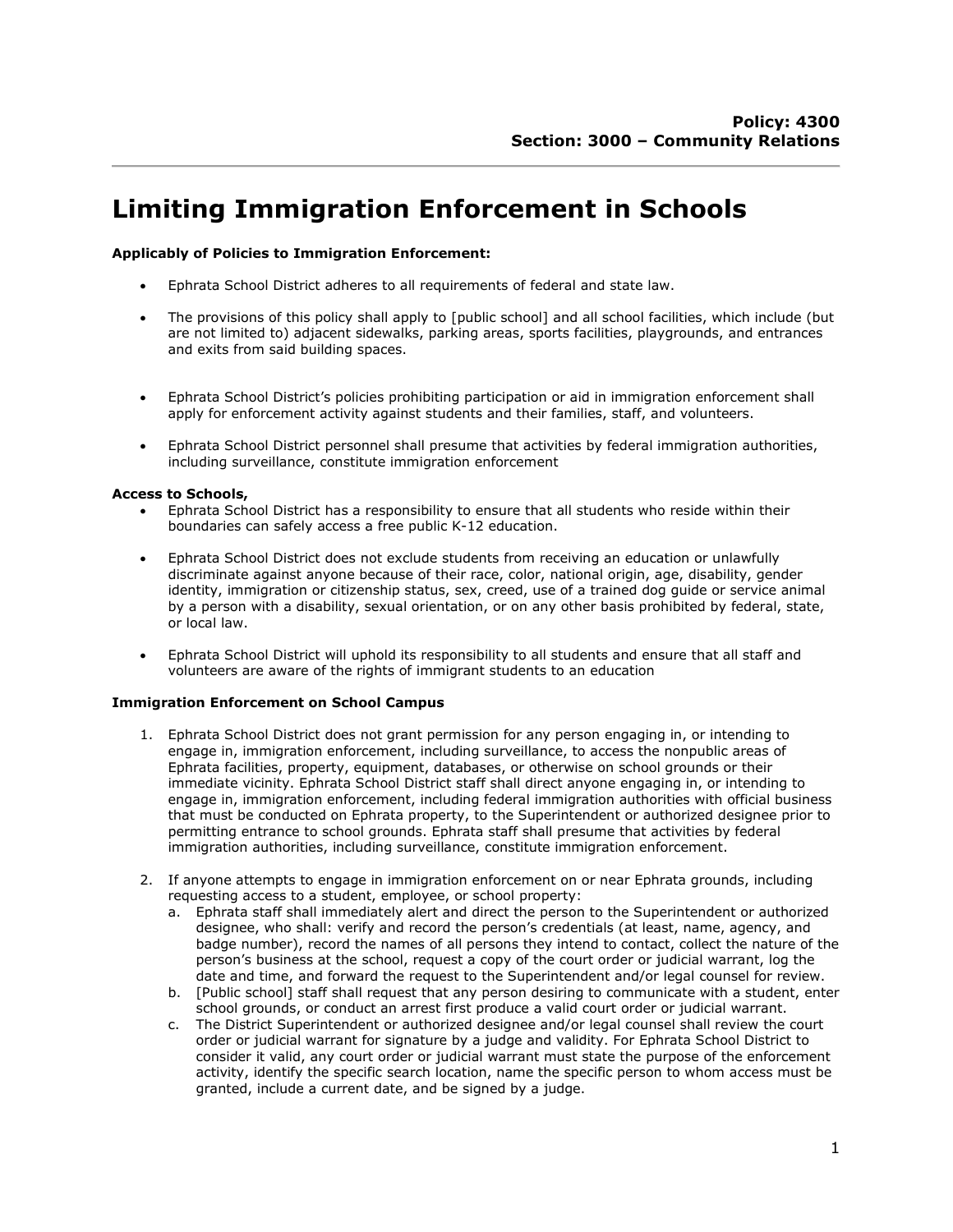# Limiting Immigration Enforcement in Schools

## Applicably of Policies to Immigration Enforcement:

- Ephrata School District adheres to all requirements of federal and state law.
- The provisions of this policy shall apply to [public school] and all school facilities, which include (but are not limited to) adjacent sidewalks, parking areas, sports facilities, playgrounds, and entrances and exits from said building spaces.
- Ephrata School District's policies prohibiting participation or aid in immigration enforcement shall apply for enforcement activity against students and their families, staff, and volunteers.
- Ephrata School District personnel shall presume that activities by federal immigration authorities, including surveillance, constitute immigration enforcement

#### Access to Schools,

- Ephrata School District has a responsibility to ensure that all students who reside within their boundaries can safely access a free public K-12 education.
- Ephrata School District does not exclude students from receiving an education or unlawfully discriminate against anyone because of their race, color, national origin, age, disability, gender identity, immigration or citizenship status, sex, creed, use of a trained dog guide or service animal by a person with a disability, sexual orientation, or on any other basis prohibited by federal, state, or local law.
- Ephrata School District will uphold its responsibility to all students and ensure that all staff and volunteers are aware of the rights of immigrant students to an education

#### Immigration Enforcement on School Campus

- 1. Ephrata School District does not grant permission for any person engaging in, or intending to engage in, immigration enforcement, including surveillance, to access the nonpublic areas of Ephrata facilities, property, equipment, databases, or otherwise on school grounds or their immediate vicinity. Ephrata School District staff shall direct anyone engaging in, or intending to engage in, immigration enforcement, including federal immigration authorities with official business that must be conducted on Ephrata property, to the Superintendent or authorized designee prior to permitting entrance to school grounds. Ephrata staff shall presume that activities by federal immigration authorities, including surveillance, constitute immigration enforcement.
- 2. If anyone attempts to engage in immigration enforcement on or near Ephrata grounds, including requesting access to a student, employee, or school property:
	- a. Ephrata staff shall immediately alert and direct the person to the Superintendent or authorized designee, who shall: verify and record the person's credentials (at least, name, agency, and badge number), record the names of all persons they intend to contact, collect the nature of the person's business at the school, request a copy of the court order or judicial warrant, log the date and time, and forward the request to the Superintendent and/or legal counsel for review.
	- b. [Public school] staff shall request that any person desiring to communicate with a student, enter school grounds, or conduct an arrest first produce a valid court order or judicial warrant.
	- c. The District Superintendent or authorized designee and/or legal counsel shall review the court order or judicial warrant for signature by a judge and validity. For Ephrata School District to consider it valid, any court order or judicial warrant must state the purpose of the enforcement activity, identify the specific search location, name the specific person to whom access must be granted, include a current date, and be signed by a judge.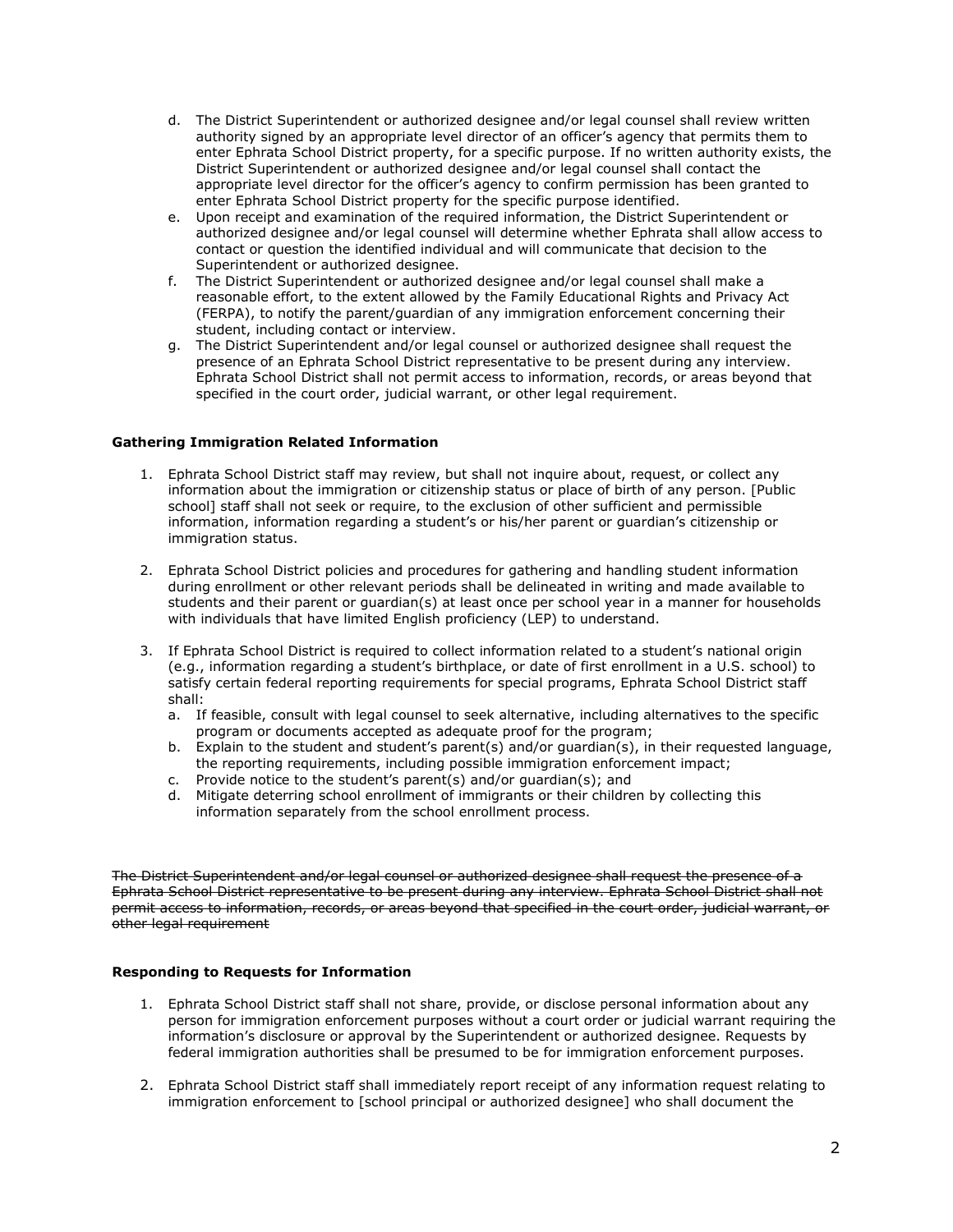- d. The District Superintendent or authorized designee and/or legal counsel shall review written authority signed by an appropriate level director of an officer's agency that permits them to enter Ephrata School District property, for a specific purpose. If no written authority exists, the District Superintendent or authorized designee and/or legal counsel shall contact the appropriate level director for the officer's agency to confirm permission has been granted to enter Ephrata School District property for the specific purpose identified.
- e. Upon receipt and examination of the required information, the District Superintendent or authorized designee and/or legal counsel will determine whether Ephrata shall allow access to contact or question the identified individual and will communicate that decision to the Superintendent or authorized designee.
- f. The District Superintendent or authorized designee and/or legal counsel shall make a reasonable effort, to the extent allowed by the Family Educational Rights and Privacy Act (FERPA), to notify the parent/guardian of any immigration enforcement concerning their student, including contact or interview.
- g. The District Superintendent and/or legal counsel or authorized designee shall request the presence of an Ephrata School District representative to be present during any interview. Ephrata School District shall not permit access to information, records, or areas beyond that specified in the court order, judicial warrant, or other legal requirement.

## Gathering Immigration Related Information

- 1. Ephrata School District staff may review, but shall not inquire about, request, or collect any information about the immigration or citizenship status or place of birth of any person. [Public school] staff shall not seek or require, to the exclusion of other sufficient and permissible information, information regarding a student's or his/her parent or guardian's citizenship or immigration status.
- 2. Ephrata School District policies and procedures for gathering and handling student information during enrollment or other relevant periods shall be delineated in writing and made available to students and their parent or guardian(s) at least once per school year in a manner for households with individuals that have limited English proficiency (LEP) to understand.
- 3. If Ephrata School District is required to collect information related to a student's national origin (e.g., information regarding a student's birthplace, or date of first enrollment in a U.S. school) to satisfy certain federal reporting requirements for special programs, Ephrata School District staff shall:
	- a. If feasible, consult with legal counsel to seek alternative, including alternatives to the specific program or documents accepted as adequate proof for the program;
	- b. Explain to the student and student's parent(s) and/or guardian(s), in their requested language, the reporting requirements, including possible immigration enforcement impact;
	- c. Provide notice to the student's parent(s) and/or guardian(s); and
	- d. Mitigate deterring school enrollment of immigrants or their children by collecting this information separately from the school enrollment process.

The District Superintendent and/or legal counsel or authorized designee shall request the presence of a Ephrata School District representative to be present during any interview. Ephrata School District shall not permit access to information, records, or areas beyond that specified in the court order, judicial warrant, or other legal requirement

#### Responding to Requests for Information

- 1. Ephrata School District staff shall not share, provide, or disclose personal information about any person for immigration enforcement purposes without a court order or judicial warrant requiring the information's disclosure or approval by the Superintendent or authorized designee. Requests by federal immigration authorities shall be presumed to be for immigration enforcement purposes.
- 2. Ephrata School District staff shall immediately report receipt of any information request relating to immigration enforcement to [school principal or authorized designee] who shall document the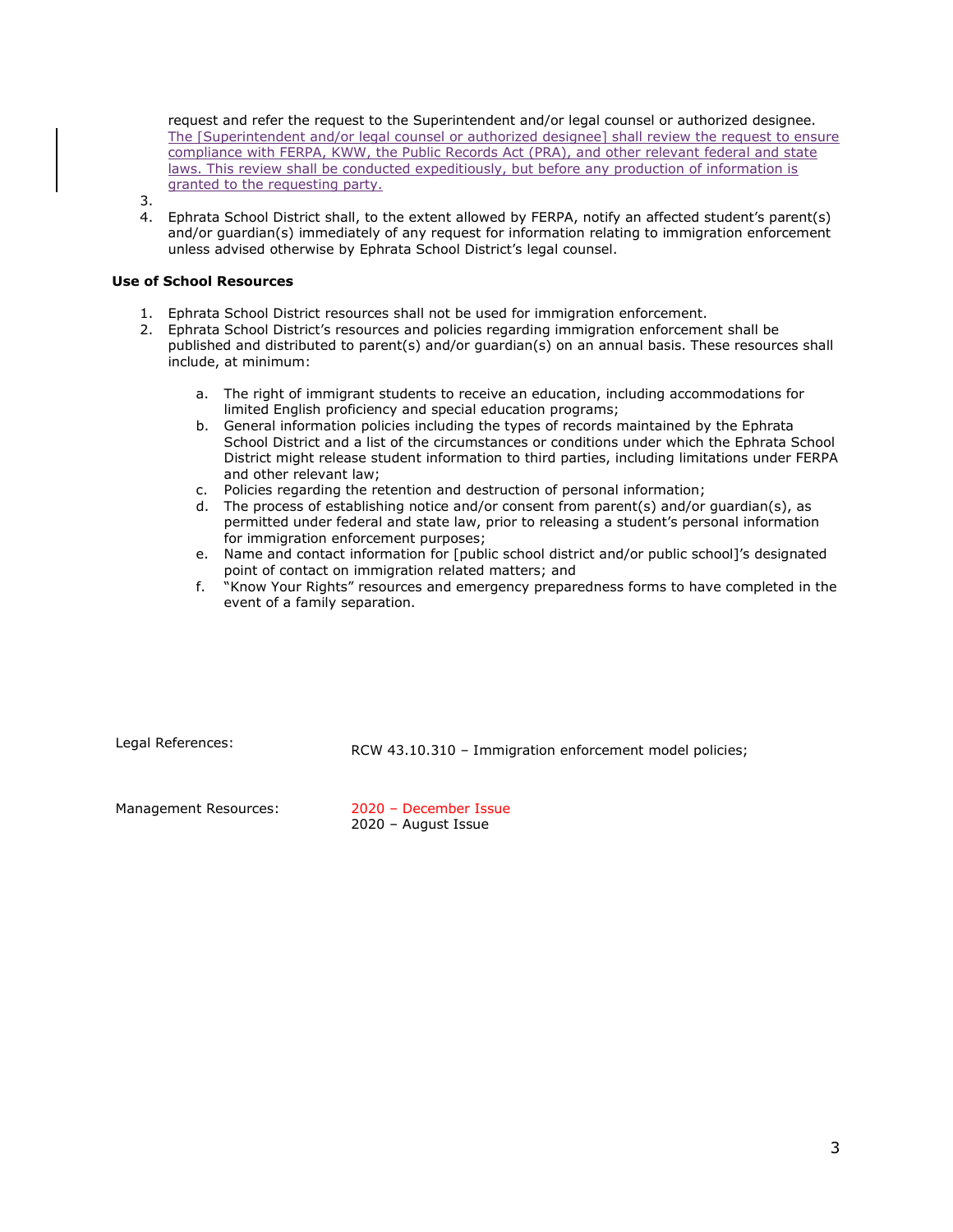request and refer the request to the Superintendent and/or legal counsel or authorized designee. The [Superintendent and/or legal counsel or authorized designee] shall review the request to ensure compliance with FERPA, KWW, the Public Records Act (PRA), and other relevant federal and state laws. This review shall be conducted expeditiously, but before any production of information is granted to the requesting party.

4. Ephrata School District shall, to the extent allowed by FERPA, notify an affected student's parent(s) and/or guardian(s) immediately of any request for information relating to immigration enforcement unless advised otherwise by Ephrata School District's legal counsel.

### Use of School Resources

3.

- 1. Ephrata School District resources shall not be used for immigration enforcement.
- 2. Ephrata School District's resources and policies regarding immigration enforcement shall be published and distributed to parent(s) and/or guardian(s) on an annual basis. These resources shall include, at minimum:
	- a. The right of immigrant students to receive an education, including accommodations for limited English proficiency and special education programs;
	- b. General information policies including the types of records maintained by the Ephrata School District and a list of the circumstances or conditions under which the Ephrata School District might release student information to third parties, including limitations under FERPA and other relevant law;
	- c. Policies regarding the retention and destruction of personal information;
	- d. The process of establishing notice and/or consent from parent(s) and/or guardian(s), as permitted under federal and state law, prior to releasing a student's personal information for immigration enforcement purposes;
	- e. Name and contact information for [public school district and/or public school]'s designated point of contact on immigration related matters; and
	- f. "Know Your Rights" resources and emergency preparedness forms to have completed in the event of a family separation.

Legal References: RCW 43.10.310 – Immigration enforcement model policies;

Management Resources: 2020 – December Issue

2020 – August Issue